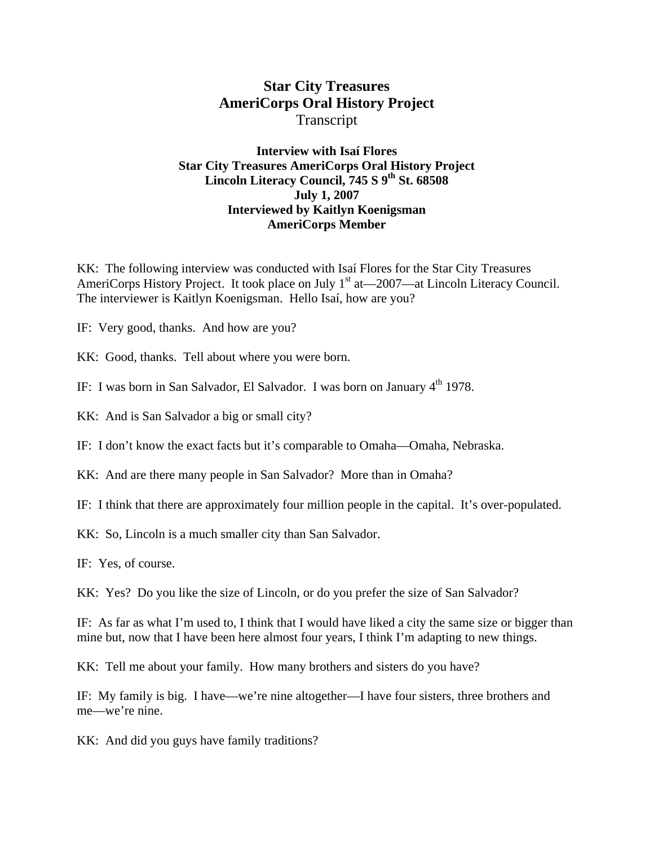# **Star City Treasures AmeriCorps Oral History Project**  Transcript

## **Interview with Isaí Flores Star City Treasures AmeriCorps Oral History Project**  Lincoln Literacy Council, 745 S 9<sup>th</sup> St. 68508 **July 1, 2007 Interviewed by Kaitlyn Koenigsman AmeriCorps Member**

KK: The following interview was conducted with Isaí Flores for the Star City Treasures AmeriCorps History Project. It took place on July  $1<sup>st</sup>$  at  $-2007$ —at Lincoln Literacy Council. The interviewer is Kaitlyn Koenigsman. Hello Isaí, how are you?

IF: Very good, thanks. And how are you?

KK: Good, thanks. Tell about where you were born.

IF: I was born in San Salvador, El Salvador. I was born on January 4<sup>th</sup> 1978.

KK: And is San Salvador a big or small city?

IF: I don't know the exact facts but it's comparable to Omaha—Omaha, Nebraska.

KK: And are there many people in San Salvador? More than in Omaha?

IF: I think that there are approximately four million people in the capital. It's over-populated.

KK: So, Lincoln is a much smaller city than San Salvador.

IF: Yes, of course.

KK: Yes? Do you like the size of Lincoln, or do you prefer the size of San Salvador?

IF: As far as what I'm used to, I think that I would have liked a city the same size or bigger than mine but, now that I have been here almost four years, I think I'm adapting to new things.

KK: Tell me about your family. How many brothers and sisters do you have?

IF: My family is big. I have—we're nine altogether—I have four sisters, three brothers and me—we're nine.

KK: And did you guys have family traditions?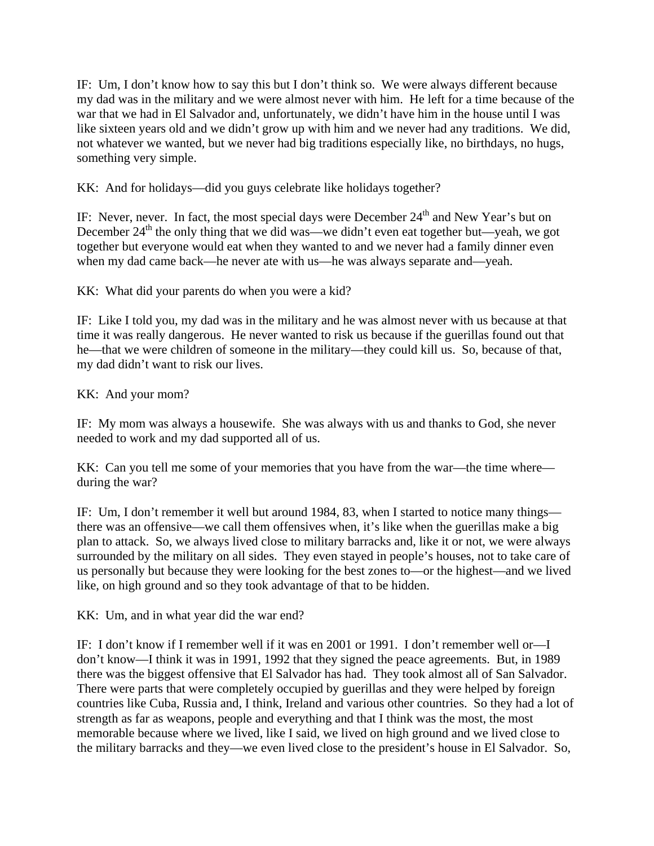IF: Um, I don't know how to say this but I don't think so. We were always different because my dad was in the military and we were almost never with him. He left for a time because of the war that we had in El Salvador and, unfortunately, we didn't have him in the house until I was like sixteen years old and we didn't grow up with him and we never had any traditions. We did, not whatever we wanted, but we never had big traditions especially like, no birthdays, no hugs, something very simple.

KK: And for holidays—did you guys celebrate like holidays together?

IF: Never, never. In fact, the most special days were December  $24<sup>th</sup>$  and New Year's but on December  $24<sup>th</sup>$  the only thing that we did was—we didn't even eat together but—yeah, we got together but everyone would eat when they wanted to and we never had a family dinner even when my dad came back—he never ate with us—he was always separate and—yeah.

KK: What did your parents do when you were a kid?

IF: Like I told you, my dad was in the military and he was almost never with us because at that time it was really dangerous. He never wanted to risk us because if the guerillas found out that he—that we were children of someone in the military—they could kill us. So, because of that, my dad didn't want to risk our lives.

KK: And your mom?

IF: My mom was always a housewife. She was always with us and thanks to God, she never needed to work and my dad supported all of us.

KK: Can you tell me some of your memories that you have from the war—the time where during the war?

IF: Um, I don't remember it well but around 1984, 83, when I started to notice many things there was an offensive—we call them offensives when, it's like when the guerillas make a big plan to attack. So, we always lived close to military barracks and, like it or not, we were always surrounded by the military on all sides. They even stayed in people's houses, not to take care of us personally but because they were looking for the best zones to—or the highest—and we lived like, on high ground and so they took advantage of that to be hidden.

KK: Um, and in what year did the war end?

IF: I don't know if I remember well if it was en 2001 or 1991. I don't remember well or—I don't know—I think it was in 1991, 1992 that they signed the peace agreements. But, in 1989 there was the biggest offensive that El Salvador has had. They took almost all of San Salvador. There were parts that were completely occupied by guerillas and they were helped by foreign countries like Cuba, Russia and, I think, Ireland and various other countries. So they had a lot of strength as far as weapons, people and everything and that I think was the most, the most memorable because where we lived, like I said, we lived on high ground and we lived close to the military barracks and they—we even lived close to the president's house in El Salvador. So,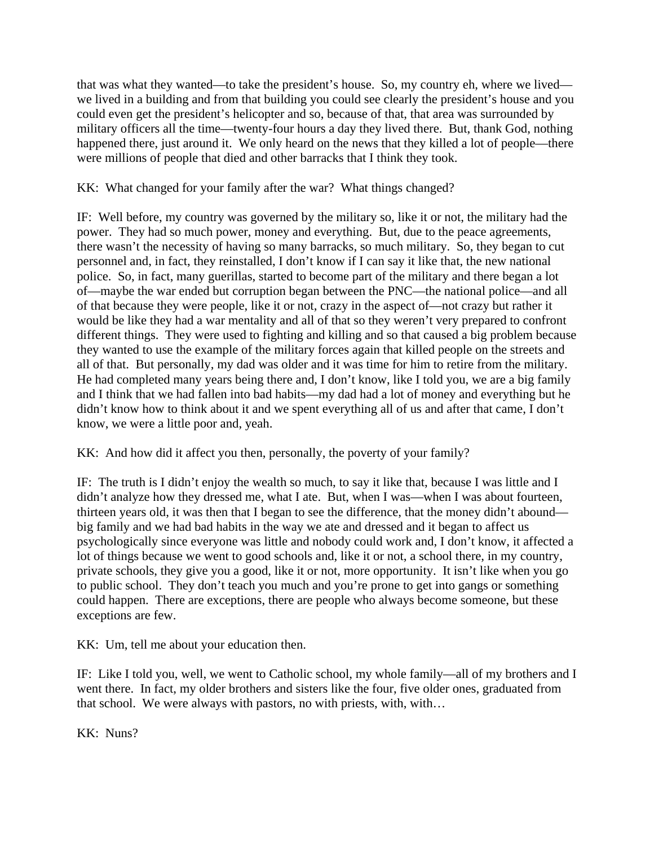that was what they wanted—to take the president's house. So, my country eh, where we lived we lived in a building and from that building you could see clearly the president's house and you could even get the president's helicopter and so, because of that, that area was surrounded by military officers all the time—twenty-four hours a day they lived there. But, thank God, nothing happened there, just around it. We only heard on the news that they killed a lot of people—there were millions of people that died and other barracks that I think they took.

# KK: What changed for your family after the war? What things changed?

IF: Well before, my country was governed by the military so, like it or not, the military had the power. They had so much power, money and everything. But, due to the peace agreements, there wasn't the necessity of having so many barracks, so much military. So, they began to cut personnel and, in fact, they reinstalled, I don't know if I can say it like that, the new national police. So, in fact, many guerillas, started to become part of the military and there began a lot of—maybe the war ended but corruption began between the PNC—the national police—and all of that because they were people, like it or not, crazy in the aspect of—not crazy but rather it would be like they had a war mentality and all of that so they weren't very prepared to confront different things. They were used to fighting and killing and so that caused a big problem because they wanted to use the example of the military forces again that killed people on the streets and all of that. But personally, my dad was older and it was time for him to retire from the military. He had completed many years being there and, I don't know, like I told you, we are a big family and I think that we had fallen into bad habits—my dad had a lot of money and everything but he didn't know how to think about it and we spent everything all of us and after that came, I don't know, we were a little poor and, yeah.

KK: And how did it affect you then, personally, the poverty of your family?

IF: The truth is I didn't enjoy the wealth so much, to say it like that, because I was little and I didn't analyze how they dressed me, what I ate. But, when I was—when I was about fourteen, thirteen years old, it was then that I began to see the difference, that the money didn't abound big family and we had bad habits in the way we ate and dressed and it began to affect us psychologically since everyone was little and nobody could work and, I don't know, it affected a lot of things because we went to good schools and, like it or not, a school there, in my country, private schools, they give you a good, like it or not, more opportunity. It isn't like when you go to public school. They don't teach you much and you're prone to get into gangs or something could happen. There are exceptions, there are people who always become someone, but these exceptions are few.

KK: Um, tell me about your education then.

IF: Like I told you, well, we went to Catholic school, my whole family—all of my brothers and I went there. In fact, my older brothers and sisters like the four, five older ones, graduated from that school. We were always with pastors, no with priests, with, with…

KK: Nuns?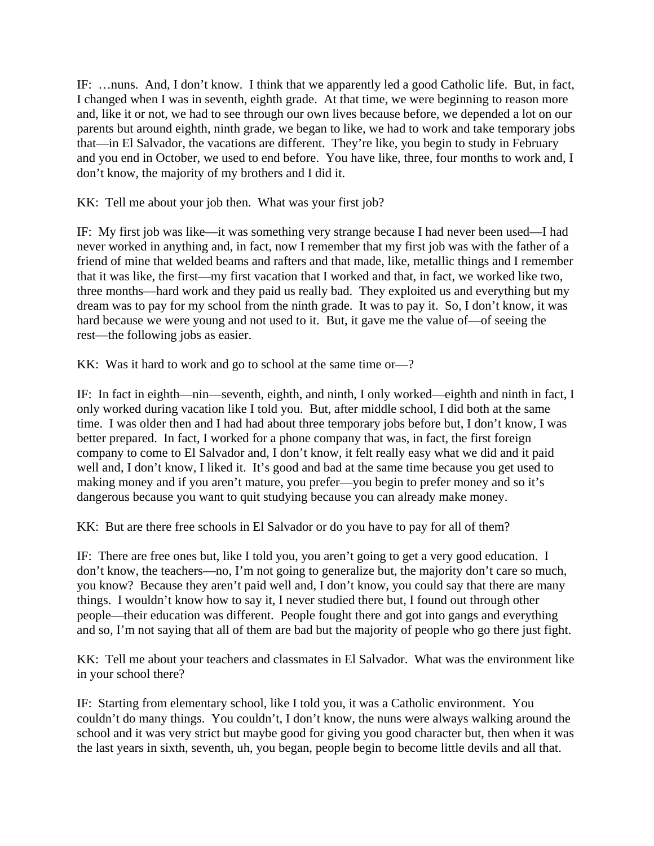IF: …nuns. And, I don't know. I think that we apparently led a good Catholic life. But, in fact, I changed when I was in seventh, eighth grade. At that time, we were beginning to reason more and, like it or not, we had to see through our own lives because before, we depended a lot on our parents but around eighth, ninth grade, we began to like, we had to work and take temporary jobs that—in El Salvador, the vacations are different. They're like, you begin to study in February and you end in October, we used to end before. You have like, three, four months to work and, I don't know, the majority of my brothers and I did it.

KK: Tell me about your job then. What was your first job?

IF: My first job was like—it was something very strange because I had never been used—I had never worked in anything and, in fact, now I remember that my first job was with the father of a friend of mine that welded beams and rafters and that made, like, metallic things and I remember that it was like, the first—my first vacation that I worked and that, in fact, we worked like two, three months—hard work and they paid us really bad. They exploited us and everything but my dream was to pay for my school from the ninth grade. It was to pay it. So, I don't know, it was hard because we were young and not used to it. But, it gave me the value of—of seeing the rest—the following jobs as easier.

KK: Was it hard to work and go to school at the same time or—?

IF: In fact in eighth—nin—seventh, eighth, and ninth, I only worked—eighth and ninth in fact, I only worked during vacation like I told you. But, after middle school, I did both at the same time. I was older then and I had had about three temporary jobs before but, I don't know, I was better prepared. In fact, I worked for a phone company that was, in fact, the first foreign company to come to El Salvador and, I don't know, it felt really easy what we did and it paid well and, I don't know, I liked it. It's good and bad at the same time because you get used to making money and if you aren't mature, you prefer—you begin to prefer money and so it's dangerous because you want to quit studying because you can already make money.

KK: But are there free schools in El Salvador or do you have to pay for all of them?

IF: There are free ones but, like I told you, you aren't going to get a very good education. I don't know, the teachers—no, I'm not going to generalize but, the majority don't care so much, you know? Because they aren't paid well and, I don't know, you could say that there are many things. I wouldn't know how to say it, I never studied there but, I found out through other people—their education was different. People fought there and got into gangs and everything and so, I'm not saying that all of them are bad but the majority of people who go there just fight.

KK: Tell me about your teachers and classmates in El Salvador. What was the environment like in your school there?

IF: Starting from elementary school, like I told you, it was a Catholic environment. You couldn't do many things. You couldn't, I don't know, the nuns were always walking around the school and it was very strict but maybe good for giving you good character but, then when it was the last years in sixth, seventh, uh, you began, people begin to become little devils and all that.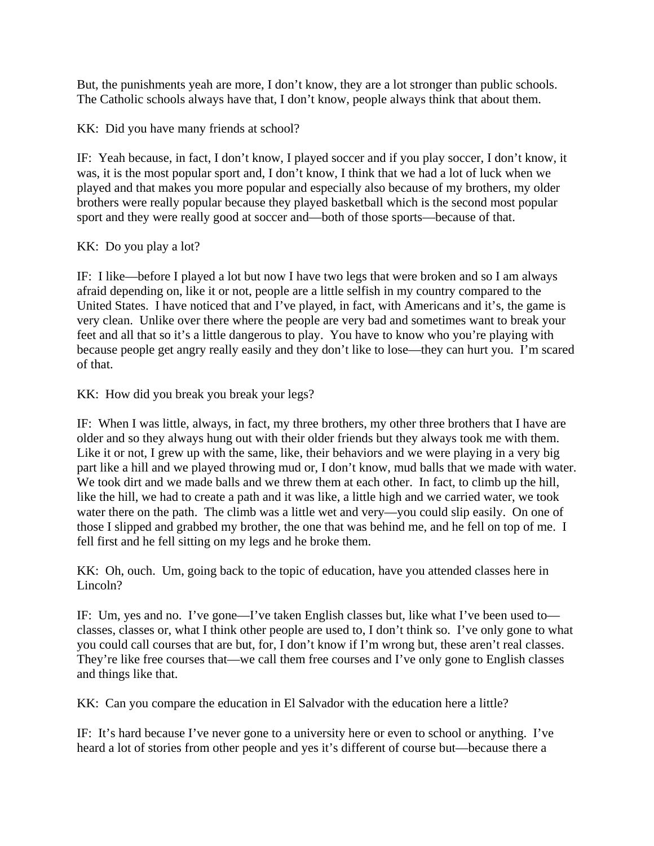But, the punishments yeah are more, I don't know, they are a lot stronger than public schools. The Catholic schools always have that, I don't know, people always think that about them.

KK: Did you have many friends at school?

IF: Yeah because, in fact, I don't know, I played soccer and if you play soccer, I don't know, it was, it is the most popular sport and, I don't know, I think that we had a lot of luck when we played and that makes you more popular and especially also because of my brothers, my older brothers were really popular because they played basketball which is the second most popular sport and they were really good at soccer and—both of those sports—because of that.

KK: Do you play a lot?

IF: I like—before I played a lot but now I have two legs that were broken and so I am always afraid depending on, like it or not, people are a little selfish in my country compared to the United States. I have noticed that and I've played, in fact, with Americans and it's, the game is very clean. Unlike over there where the people are very bad and sometimes want to break your feet and all that so it's a little dangerous to play. You have to know who you're playing with because people get angry really easily and they don't like to lose—they can hurt you. I'm scared of that.

KK: How did you break you break your legs?

IF: When I was little, always, in fact, my three brothers, my other three brothers that I have are older and so they always hung out with their older friends but they always took me with them. Like it or not, I grew up with the same, like, their behaviors and we were playing in a very big part like a hill and we played throwing mud or, I don't know, mud balls that we made with water. We took dirt and we made balls and we threw them at each other. In fact, to climb up the hill, like the hill, we had to create a path and it was like, a little high and we carried water, we took water there on the path. The climb was a little wet and very—you could slip easily. On one of those I slipped and grabbed my brother, the one that was behind me, and he fell on top of me. I fell first and he fell sitting on my legs and he broke them.

KK: Oh, ouch. Um, going back to the topic of education, have you attended classes here in Lincoln?

IF: Um, yes and no. I've gone—I've taken English classes but, like what I've been used to classes, classes or, what I think other people are used to, I don't think so. I've only gone to what you could call courses that are but, for, I don't know if I'm wrong but, these aren't real classes. They're like free courses that—we call them free courses and I've only gone to English classes and things like that.

KK: Can you compare the education in El Salvador with the education here a little?

IF: It's hard because I've never gone to a university here or even to school or anything. I've heard a lot of stories from other people and yes it's different of course but—because there a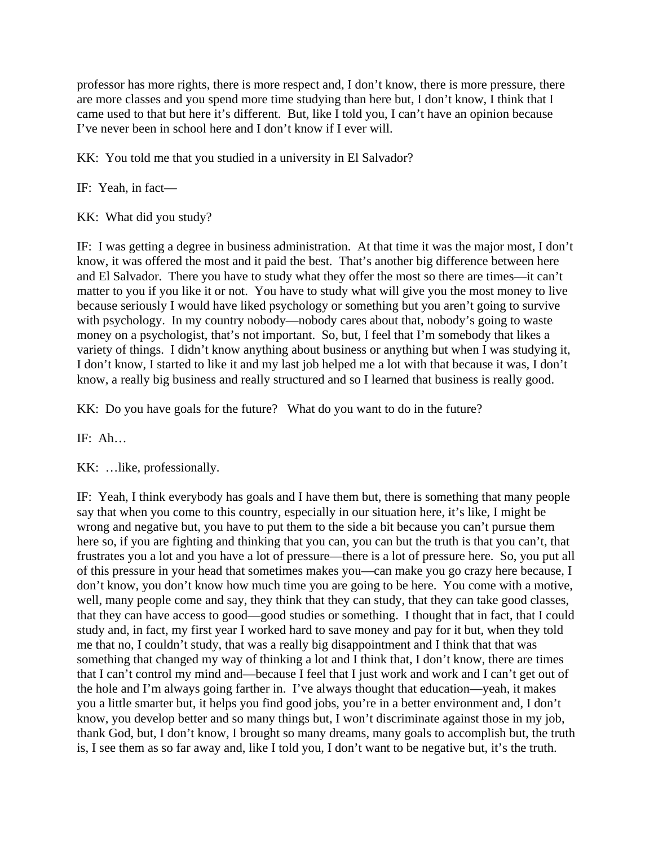professor has more rights, there is more respect and, I don't know, there is more pressure, there are more classes and you spend more time studying than here but, I don't know, I think that I came used to that but here it's different. But, like I told you, I can't have an opinion because I've never been in school here and I don't know if I ever will.

KK: You told me that you studied in a university in El Salvador?

IF: Yeah, in fact—

KK: What did you study?

IF: I was getting a degree in business administration. At that time it was the major most, I don't know, it was offered the most and it paid the best. That's another big difference between here and El Salvador. There you have to study what they offer the most so there are times—it can't matter to you if you like it or not. You have to study what will give you the most money to live because seriously I would have liked psychology or something but you aren't going to survive with psychology. In my country nobody—nobody cares about that, nobody's going to waste money on a psychologist, that's not important. So, but, I feel that I'm somebody that likes a variety of things. I didn't know anything about business or anything but when I was studying it, I don't know, I started to like it and my last job helped me a lot with that because it was, I don't know, a really big business and really structured and so I learned that business is really good.

KK: Do you have goals for the future? What do you want to do in the future?

IF: Ah…

KK: …like, professionally.

IF: Yeah, I think everybody has goals and I have them but, there is something that many people say that when you come to this country, especially in our situation here, it's like, I might be wrong and negative but, you have to put them to the side a bit because you can't pursue them here so, if you are fighting and thinking that you can, you can but the truth is that you can't, that frustrates you a lot and you have a lot of pressure—there is a lot of pressure here. So, you put all of this pressure in your head that sometimes makes you—can make you go crazy here because, I don't know, you don't know how much time you are going to be here. You come with a motive, well, many people come and say, they think that they can study, that they can take good classes, that they can have access to good—good studies or something. I thought that in fact, that I could study and, in fact, my first year I worked hard to save money and pay for it but, when they told me that no, I couldn't study, that was a really big disappointment and I think that that was something that changed my way of thinking a lot and I think that, I don't know, there are times that I can't control my mind and—because I feel that I just work and work and I can't get out of the hole and I'm always going farther in. I've always thought that education—yeah, it makes you a little smarter but, it helps you find good jobs, you're in a better environment and, I don't know, you develop better and so many things but, I won't discriminate against those in my job, thank God, but, I don't know, I brought so many dreams, many goals to accomplish but, the truth is, I see them as so far away and, like I told you, I don't want to be negative but, it's the truth.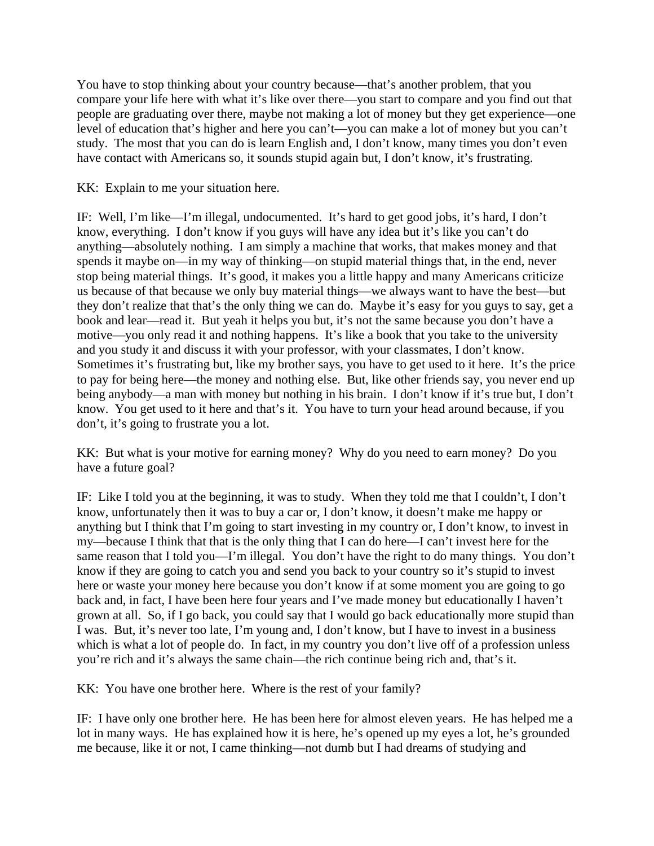You have to stop thinking about your country because—that's another problem, that you compare your life here with what it's like over there—you start to compare and you find out that people are graduating over there, maybe not making a lot of money but they get experience—one level of education that's higher and here you can't—you can make a lot of money but you can't study. The most that you can do is learn English and, I don't know, many times you don't even have contact with Americans so, it sounds stupid again but, I don't know, it's frustrating.

KK: Explain to me your situation here.

IF: Well, I'm like—I'm illegal, undocumented. It's hard to get good jobs, it's hard, I don't know, everything. I don't know if you guys will have any idea but it's like you can't do anything—absolutely nothing. I am simply a machine that works, that makes money and that spends it maybe on—in my way of thinking—on stupid material things that, in the end, never stop being material things. It's good, it makes you a little happy and many Americans criticize us because of that because we only buy material things—we always want to have the best—but they don't realize that that's the only thing we can do. Maybe it's easy for you guys to say, get a book and lear—read it. But yeah it helps you but, it's not the same because you don't have a motive—you only read it and nothing happens. It's like a book that you take to the university and you study it and discuss it with your professor, with your classmates, I don't know. Sometimes it's frustrating but, like my brother says, you have to get used to it here. It's the price to pay for being here—the money and nothing else. But, like other friends say, you never end up being anybody—a man with money but nothing in his brain. I don't know if it's true but, I don't know. You get used to it here and that's it. You have to turn your head around because, if you don't, it's going to frustrate you a lot.

KK: But what is your motive for earning money? Why do you need to earn money? Do you have a future goal?

IF: Like I told you at the beginning, it was to study. When they told me that I couldn't, I don't know, unfortunately then it was to buy a car or, I don't know, it doesn't make me happy or anything but I think that I'm going to start investing in my country or, I don't know, to invest in my—because I think that that is the only thing that I can do here—I can't invest here for the same reason that I told you—I'm illegal. You don't have the right to do many things. You don't know if they are going to catch you and send you back to your country so it's stupid to invest here or waste your money here because you don't know if at some moment you are going to go back and, in fact, I have been here four years and I've made money but educationally I haven't grown at all. So, if I go back, you could say that I would go back educationally more stupid than I was. But, it's never too late, I'm young and, I don't know, but I have to invest in a business which is what a lot of people do. In fact, in my country you don't live off of a profession unless you're rich and it's always the same chain—the rich continue being rich and, that's it.

KK: You have one brother here. Where is the rest of your family?

IF: I have only one brother here. He has been here for almost eleven years. He has helped me a lot in many ways. He has explained how it is here, he's opened up my eyes a lot, he's grounded me because, like it or not, I came thinking—not dumb but I had dreams of studying and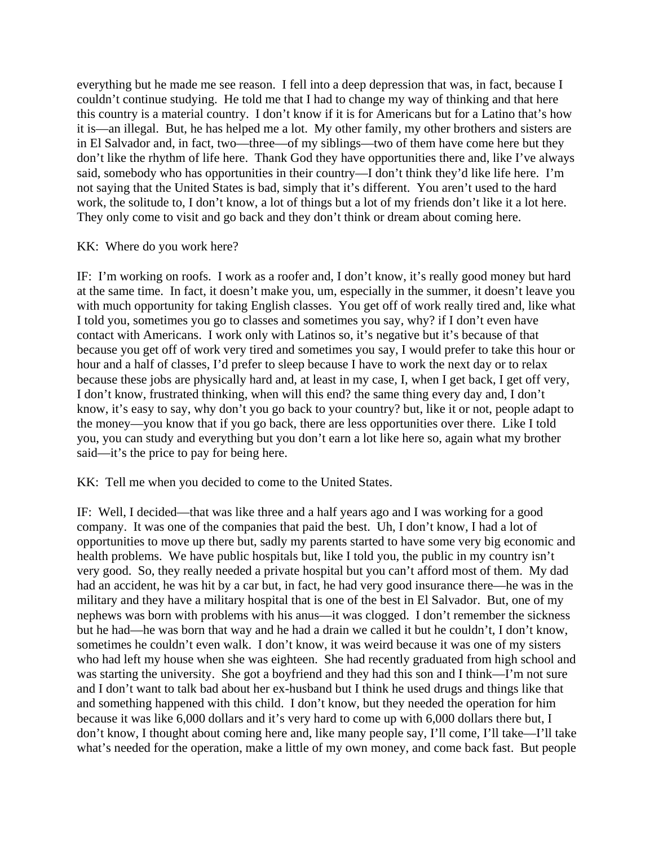everything but he made me see reason. I fell into a deep depression that was, in fact, because I couldn't continue studying. He told me that I had to change my way of thinking and that here this country is a material country. I don't know if it is for Americans but for a Latino that's how it is—an illegal. But, he has helped me a lot. My other family, my other brothers and sisters are in El Salvador and, in fact, two—three—of my siblings—two of them have come here but they don't like the rhythm of life here. Thank God they have opportunities there and, like I've always said, somebody who has opportunities in their country—I don't think they'd like life here. I'm not saying that the United States is bad, simply that it's different. You aren't used to the hard work, the solitude to, I don't know, a lot of things but a lot of my friends don't like it a lot here. They only come to visit and go back and they don't think or dream about coming here.

### KK: Where do you work here?

IF: I'm working on roofs. I work as a roofer and, I don't know, it's really good money but hard at the same time. In fact, it doesn't make you, um, especially in the summer, it doesn't leave you with much opportunity for taking English classes. You get off of work really tired and, like what I told you, sometimes you go to classes and sometimes you say, why? if I don't even have contact with Americans. I work only with Latinos so, it's negative but it's because of that because you get off of work very tired and sometimes you say, I would prefer to take this hour or hour and a half of classes, I'd prefer to sleep because I have to work the next day or to relax because these jobs are physically hard and, at least in my case, I, when I get back, I get off very, I don't know, frustrated thinking, when will this end? the same thing every day and, I don't know, it's easy to say, why don't you go back to your country? but, like it or not, people adapt to the money—you know that if you go back, there are less opportunities over there. Like I told you, you can study and everything but you don't earn a lot like here so, again what my brother said—it's the price to pay for being here.

KK: Tell me when you decided to come to the United States.

IF: Well, I decided—that was like three and a half years ago and I was working for a good company. It was one of the companies that paid the best. Uh, I don't know, I had a lot of opportunities to move up there but, sadly my parents started to have some very big economic and health problems. We have public hospitals but, like I told you, the public in my country isn't very good. So, they really needed a private hospital but you can't afford most of them. My dad had an accident, he was hit by a car but, in fact, he had very good insurance there—he was in the military and they have a military hospital that is one of the best in El Salvador. But, one of my nephews was born with problems with his anus—it was clogged. I don't remember the sickness but he had—he was born that way and he had a drain we called it but he couldn't, I don't know, sometimes he couldn't even walk. I don't know, it was weird because it was one of my sisters who had left my house when she was eighteen. She had recently graduated from high school and was starting the university. She got a boyfriend and they had this son and I think—I'm not sure and I don't want to talk bad about her ex-husband but I think he used drugs and things like that and something happened with this child. I don't know, but they needed the operation for him because it was like 6,000 dollars and it's very hard to come up with 6,000 dollars there but, I don't know, I thought about coming here and, like many people say, I'll come, I'll take—I'll take what's needed for the operation, make a little of my own money, and come back fast. But people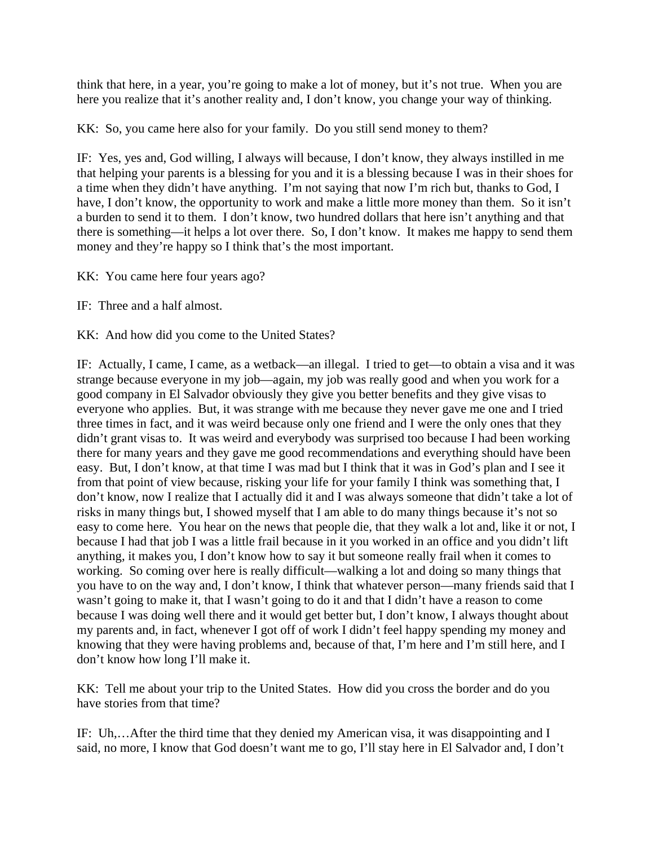think that here, in a year, you're going to make a lot of money, but it's not true. When you are here you realize that it's another reality and, I don't know, you change your way of thinking.

KK: So, you came here also for your family. Do you still send money to them?

IF: Yes, yes and, God willing, I always will because, I don't know, they always instilled in me that helping your parents is a blessing for you and it is a blessing because I was in their shoes for a time when they didn't have anything. I'm not saying that now I'm rich but, thanks to God, I have, I don't know, the opportunity to work and make a little more money than them. So it isn't a burden to send it to them. I don't know, two hundred dollars that here isn't anything and that there is something—it helps a lot over there. So, I don't know. It makes me happy to send them money and they're happy so I think that's the most important.

KK: You came here four years ago?

IF: Three and a half almost.

KK: And how did you come to the United States?

IF: Actually, I came, I came, as a wetback—an illegal. I tried to get—to obtain a visa and it was strange because everyone in my job—again, my job was really good and when you work for a good company in El Salvador obviously they give you better benefits and they give visas to everyone who applies. But, it was strange with me because they never gave me one and I tried three times in fact, and it was weird because only one friend and I were the only ones that they didn't grant visas to. It was weird and everybody was surprised too because I had been working there for many years and they gave me good recommendations and everything should have been easy. But, I don't know, at that time I was mad but I think that it was in God's plan and I see it from that point of view because, risking your life for your family I think was something that, I don't know, now I realize that I actually did it and I was always someone that didn't take a lot of risks in many things but, I showed myself that I am able to do many things because it's not so easy to come here. You hear on the news that people die, that they walk a lot and, like it or not, I because I had that job I was a little frail because in it you worked in an office and you didn't lift anything, it makes you, I don't know how to say it but someone really frail when it comes to working. So coming over here is really difficult—walking a lot and doing so many things that you have to on the way and, I don't know, I think that whatever person—many friends said that I wasn't going to make it, that I wasn't going to do it and that I didn't have a reason to come because I was doing well there and it would get better but, I don't know, I always thought about my parents and, in fact, whenever I got off of work I didn't feel happy spending my money and knowing that they were having problems and, because of that, I'm here and I'm still here, and I don't know how long I'll make it.

KK: Tell me about your trip to the United States. How did you cross the border and do you have stories from that time?

IF: Uh,…After the third time that they denied my American visa, it was disappointing and I said, no more, I know that God doesn't want me to go, I'll stay here in El Salvador and, I don't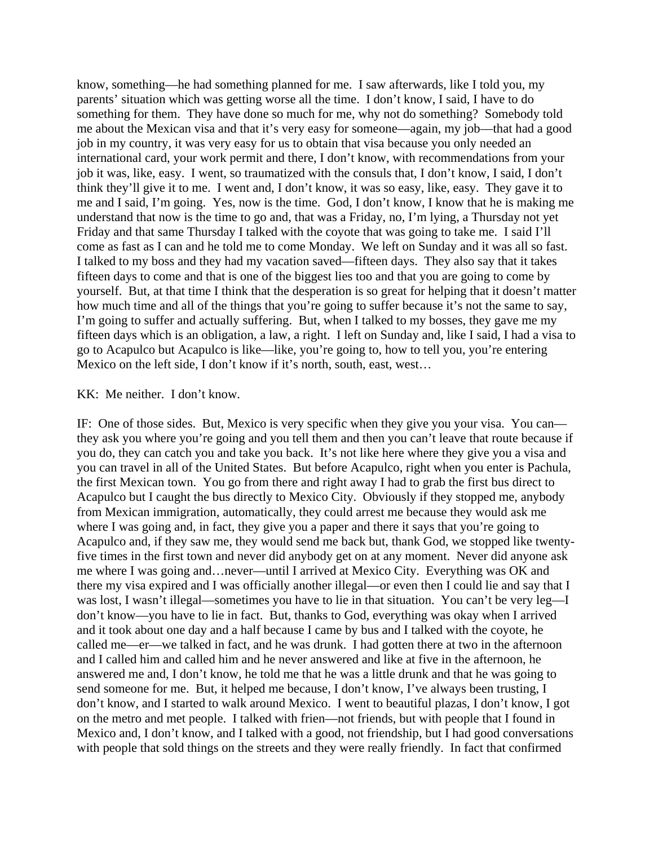know, something—he had something planned for me. I saw afterwards, like I told you, my parents' situation which was getting worse all the time. I don't know, I said, I have to do something for them. They have done so much for me, why not do something? Somebody told me about the Mexican visa and that it's very easy for someone—again, my job—that had a good job in my country, it was very easy for us to obtain that visa because you only needed an international card, your work permit and there, I don't know, with recommendations from your job it was, like, easy. I went, so traumatized with the consuls that, I don't know, I said, I don't think they'll give it to me. I went and, I don't know, it was so easy, like, easy. They gave it to me and I said, I'm going. Yes, now is the time. God, I don't know, I know that he is making me understand that now is the time to go and, that was a Friday, no, I'm lying, a Thursday not yet Friday and that same Thursday I talked with the coyote that was going to take me. I said I'll come as fast as I can and he told me to come Monday. We left on Sunday and it was all so fast. I talked to my boss and they had my vacation saved—fifteen days. They also say that it takes fifteen days to come and that is one of the biggest lies too and that you are going to come by yourself. But, at that time I think that the desperation is so great for helping that it doesn't matter how much time and all of the things that you're going to suffer because it's not the same to say, I'm going to suffer and actually suffering. But, when I talked to my bosses, they gave me my fifteen days which is an obligation, a law, a right. I left on Sunday and, like I said, I had a visa to go to Acapulco but Acapulco is like—like, you're going to, how to tell you, you're entering Mexico on the left side, I don't know if it's north, south, east, west…

### KK: Me neither. I don't know.

IF: One of those sides. But, Mexico is very specific when they give you your visa. You can they ask you where you're going and you tell them and then you can't leave that route because if you do, they can catch you and take you back. It's not like here where they give you a visa and you can travel in all of the United States. But before Acapulco, right when you enter is Pachula, the first Mexican town. You go from there and right away I had to grab the first bus direct to Acapulco but I caught the bus directly to Mexico City. Obviously if they stopped me, anybody from Mexican immigration, automatically, they could arrest me because they would ask me where I was going and, in fact, they give you a paper and there it says that you're going to Acapulco and, if they saw me, they would send me back but, thank God, we stopped like twentyfive times in the first town and never did anybody get on at any moment. Never did anyone ask me where I was going and…never—until I arrived at Mexico City. Everything was OK and there my visa expired and I was officially another illegal—or even then I could lie and say that I was lost, I wasn't illegal—sometimes you have to lie in that situation. You can't be very leg—I don't know—you have to lie in fact. But, thanks to God, everything was okay when I arrived and it took about one day and a half because I came by bus and I talked with the coyote, he called me—er—we talked in fact, and he was drunk. I had gotten there at two in the afternoon and I called him and called him and he never answered and like at five in the afternoon, he answered me and, I don't know, he told me that he was a little drunk and that he was going to send someone for me. But, it helped me because, I don't know, I've always been trusting, I don't know, and I started to walk around Mexico. I went to beautiful plazas, I don't know, I got on the metro and met people. I talked with frien—not friends, but with people that I found in Mexico and, I don't know, and I talked with a good, not friendship, but I had good conversations with people that sold things on the streets and they were really friendly. In fact that confirmed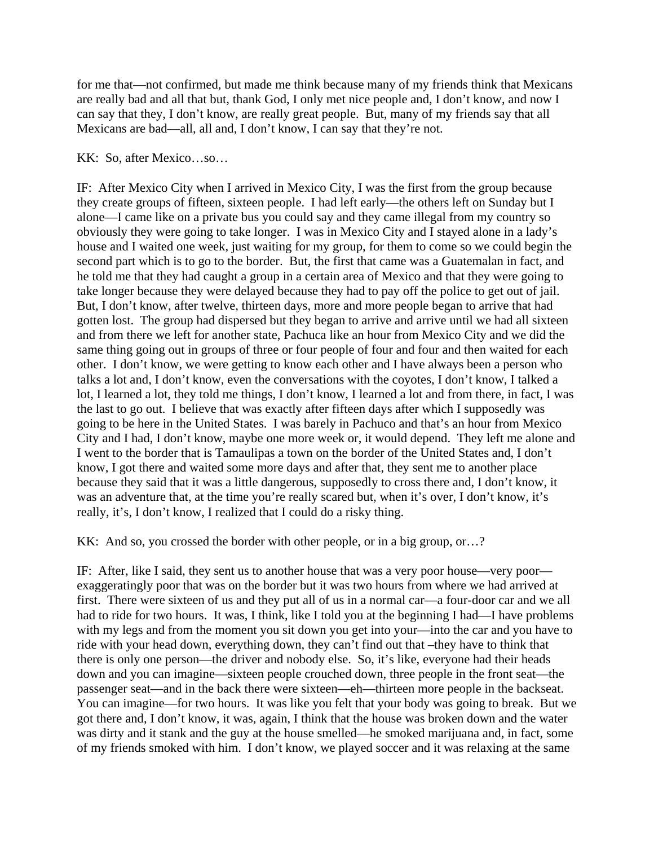for me that—not confirmed, but made me think because many of my friends think that Mexicans are really bad and all that but, thank God, I only met nice people and, I don't know, and now I can say that they, I don't know, are really great people. But, many of my friends say that all Mexicans are bad—all, all and, I don't know, I can say that they're not.

### KK: So, after Mexico…so…

IF: After Mexico City when I arrived in Mexico City, I was the first from the group because they create groups of fifteen, sixteen people. I had left early—the others left on Sunday but I alone—I came like on a private bus you could say and they came illegal from my country so obviously they were going to take longer. I was in Mexico City and I stayed alone in a lady's house and I waited one week, just waiting for my group, for them to come so we could begin the second part which is to go to the border. But, the first that came was a Guatemalan in fact, and he told me that they had caught a group in a certain area of Mexico and that they were going to take longer because they were delayed because they had to pay off the police to get out of jail. But, I don't know, after twelve, thirteen days, more and more people began to arrive that had gotten lost. The group had dispersed but they began to arrive and arrive until we had all sixteen and from there we left for another state, Pachuca like an hour from Mexico City and we did the same thing going out in groups of three or four people of four and four and then waited for each other. I don't know, we were getting to know each other and I have always been a person who talks a lot and, I don't know, even the conversations with the coyotes, I don't know, I talked a lot, I learned a lot, they told me things, I don't know, I learned a lot and from there, in fact, I was the last to go out. I believe that was exactly after fifteen days after which I supposedly was going to be here in the United States. I was barely in Pachuco and that's an hour from Mexico City and I had, I don't know, maybe one more week or, it would depend. They left me alone and I went to the border that is Tamaulipas a town on the border of the United States and, I don't know, I got there and waited some more days and after that, they sent me to another place because they said that it was a little dangerous, supposedly to cross there and, I don't know, it was an adventure that, at the time you're really scared but, when it's over, I don't know, it's really, it's, I don't know, I realized that I could do a risky thing.

KK: And so, you crossed the border with other people, or in a big group, or…?

IF: After, like I said, they sent us to another house that was a very poor house—very poor exaggeratingly poor that was on the border but it was two hours from where we had arrived at first. There were sixteen of us and they put all of us in a normal car—a four-door car and we all had to ride for two hours. It was, I think, like I told you at the beginning I had—I have problems with my legs and from the moment you sit down you get into your—into the car and you have to ride with your head down, everything down, they can't find out that –they have to think that there is only one person—the driver and nobody else. So, it's like, everyone had their heads down and you can imagine—sixteen people crouched down, three people in the front seat—the passenger seat—and in the back there were sixteen—eh—thirteen more people in the backseat. You can imagine—for two hours. It was like you felt that your body was going to break. But we got there and, I don't know, it was, again, I think that the house was broken down and the water was dirty and it stank and the guy at the house smelled—he smoked marijuana and, in fact, some of my friends smoked with him. I don't know, we played soccer and it was relaxing at the same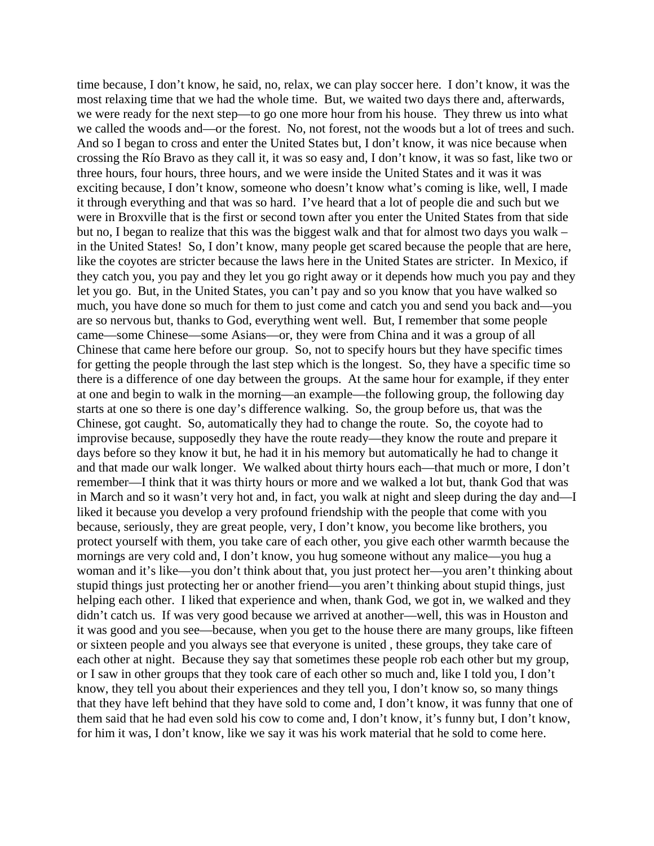time because, I don't know, he said, no, relax, we can play soccer here. I don't know, it was the most relaxing time that we had the whole time. But, we waited two days there and, afterwards, we were ready for the next step—to go one more hour from his house. They threw us into what we called the woods and—or the forest. No, not forest, not the woods but a lot of trees and such. And so I began to cross and enter the United States but, I don't know, it was nice because when crossing the Río Bravo as they call it, it was so easy and, I don't know, it was so fast, like two or three hours, four hours, three hours, and we were inside the United States and it was it was exciting because, I don't know, someone who doesn't know what's coming is like, well, I made it through everything and that was so hard. I've heard that a lot of people die and such but we were in Broxville that is the first or second town after you enter the United States from that side but no, I began to realize that this was the biggest walk and that for almost two days you walk – in the United States! So, I don't know, many people get scared because the people that are here, like the coyotes are stricter because the laws here in the United States are stricter. In Mexico, if they catch you, you pay and they let you go right away or it depends how much you pay and they let you go. But, in the United States, you can't pay and so you know that you have walked so much, you have done so much for them to just come and catch you and send you back and—you are so nervous but, thanks to God, everything went well. But, I remember that some people came—some Chinese—some Asians—or, they were from China and it was a group of all Chinese that came here before our group. So, not to specify hours but they have specific times for getting the people through the last step which is the longest. So, they have a specific time so there is a difference of one day between the groups. At the same hour for example, if they enter at one and begin to walk in the morning—an example—the following group, the following day starts at one so there is one day's difference walking. So, the group before us, that was the Chinese, got caught. So, automatically they had to change the route. So, the coyote had to improvise because, supposedly they have the route ready—they know the route and prepare it days before so they know it but, he had it in his memory but automatically he had to change it and that made our walk longer. We walked about thirty hours each—that much or more, I don't remember—I think that it was thirty hours or more and we walked a lot but, thank God that was in March and so it wasn't very hot and, in fact, you walk at night and sleep during the day and—I liked it because you develop a very profound friendship with the people that come with you because, seriously, they are great people, very, I don't know, you become like brothers, you protect yourself with them, you take care of each other, you give each other warmth because the mornings are very cold and, I don't know, you hug someone without any malice—you hug a woman and it's like—you don't think about that, you just protect her—you aren't thinking about stupid things just protecting her or another friend—you aren't thinking about stupid things, just helping each other. I liked that experience and when, thank God, we got in, we walked and they didn't catch us. If was very good because we arrived at another—well, this was in Houston and it was good and you see—because, when you get to the house there are many groups, like fifteen or sixteen people and you always see that everyone is united , these groups, they take care of each other at night. Because they say that sometimes these people rob each other but my group, or I saw in other groups that they took care of each other so much and, like I told you, I don't know, they tell you about their experiences and they tell you, I don't know so, so many things that they have left behind that they have sold to come and, I don't know, it was funny that one of them said that he had even sold his cow to come and, I don't know, it's funny but, I don't know, for him it was, I don't know, like we say it was his work material that he sold to come here.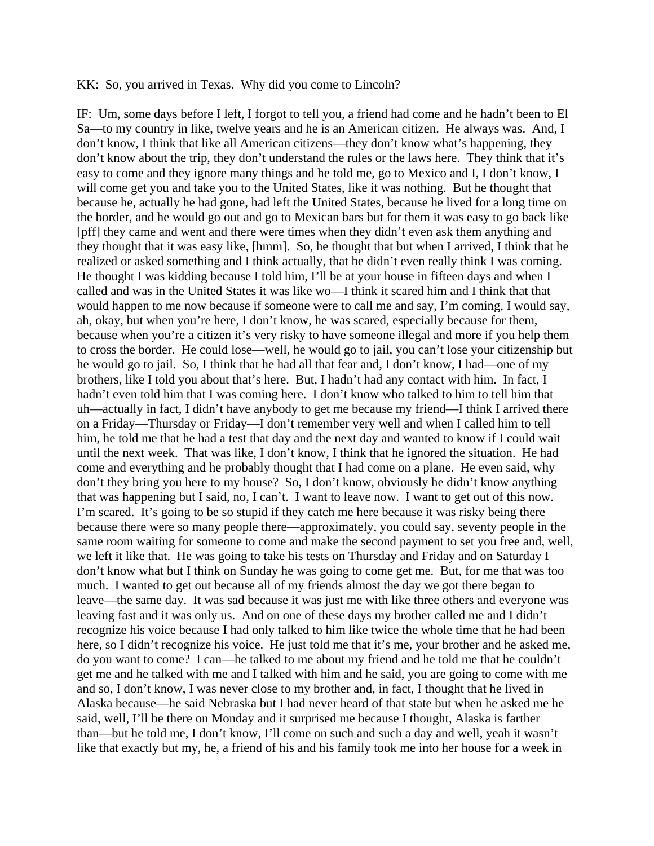#### KK: So, you arrived in Texas. Why did you come to Lincoln?

IF: Um, some days before I left, I forgot to tell you, a friend had come and he hadn't been to El Sa—to my country in like, twelve years and he is an American citizen. He always was. And, I don't know, I think that like all American citizens—they don't know what's happening, they don't know about the trip, they don't understand the rules or the laws here. They think that it's easy to come and they ignore many things and he told me, go to Mexico and I, I don't know, I will come get you and take you to the United States, like it was nothing. But he thought that because he, actually he had gone, had left the United States, because he lived for a long time on the border, and he would go out and go to Mexican bars but for them it was easy to go back like [pff] they came and went and there were times when they didn't even ask them anything and they thought that it was easy like, [hmm]. So, he thought that but when I arrived, I think that he realized or asked something and I think actually, that he didn't even really think I was coming. He thought I was kidding because I told him, I'll be at your house in fifteen days and when I called and was in the United States it was like wo—I think it scared him and I think that that would happen to me now because if someone were to call me and say, I'm coming, I would say, ah, okay, but when you're here, I don't know, he was scared, especially because for them, because when you're a citizen it's very risky to have someone illegal and more if you help them to cross the border. He could lose—well, he would go to jail, you can't lose your citizenship but he would go to jail. So, I think that he had all that fear and, I don't know, I had—one of my brothers, like I told you about that's here. But, I hadn't had any contact with him. In fact, I hadn't even told him that I was coming here. I don't know who talked to him to tell him that uh—actually in fact, I didn't have anybody to get me because my friend—I think I arrived there on a Friday—Thursday or Friday—I don't remember very well and when I called him to tell him, he told me that he had a test that day and the next day and wanted to know if I could wait until the next week. That was like, I don't know, I think that he ignored the situation. He had come and everything and he probably thought that I had come on a plane. He even said, why don't they bring you here to my house? So, I don't know, obviously he didn't know anything that was happening but I said, no, I can't. I want to leave now. I want to get out of this now. I'm scared. It's going to be so stupid if they catch me here because it was risky being there because there were so many people there—approximately, you could say, seventy people in the same room waiting for someone to come and make the second payment to set you free and, well, we left it like that. He was going to take his tests on Thursday and Friday and on Saturday I don't know what but I think on Sunday he was going to come get me. But, for me that was too much. I wanted to get out because all of my friends almost the day we got there began to leave—the same day. It was sad because it was just me with like three others and everyone was leaving fast and it was only us. And on one of these days my brother called me and I didn't recognize his voice because I had only talked to him like twice the whole time that he had been here, so I didn't recognize his voice. He just told me that it's me, your brother and he asked me, do you want to come? I can—he talked to me about my friend and he told me that he couldn't get me and he talked with me and I talked with him and he said, you are going to come with me and so, I don't know, I was never close to my brother and, in fact, I thought that he lived in Alaska because—he said Nebraska but I had never heard of that state but when he asked me he said, well, I'll be there on Monday and it surprised me because I thought, Alaska is farther than—but he told me, I don't know, I'll come on such and such a day and well, yeah it wasn't like that exactly but my, he, a friend of his and his family took me into her house for a week in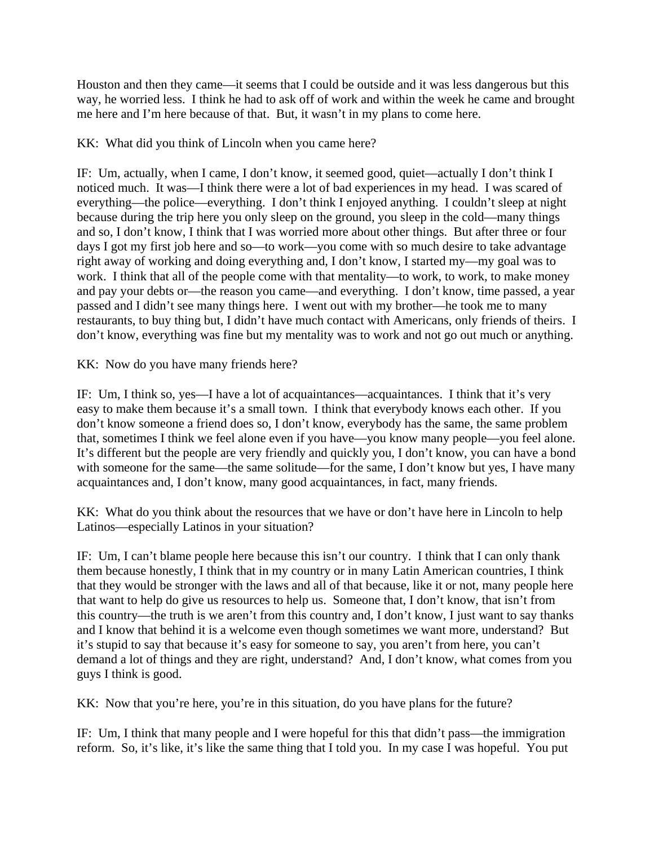Houston and then they came—it seems that I could be outside and it was less dangerous but this way, he worried less. I think he had to ask off of work and within the week he came and brought me here and I'm here because of that. But, it wasn't in my plans to come here.

KK: What did you think of Lincoln when you came here?

IF: Um, actually, when I came, I don't know, it seemed good, quiet—actually I don't think I noticed much. It was—I think there were a lot of bad experiences in my head. I was scared of everything—the police—everything. I don't think I enjoyed anything. I couldn't sleep at night because during the trip here you only sleep on the ground, you sleep in the cold—many things and so, I don't know, I think that I was worried more about other things. But after three or four days I got my first job here and so—to work—you come with so much desire to take advantage right away of working and doing everything and, I don't know, I started my—my goal was to work. I think that all of the people come with that mentality—to work, to work, to make money and pay your debts or—the reason you came—and everything. I don't know, time passed, a year passed and I didn't see many things here. I went out with my brother—he took me to many restaurants, to buy thing but, I didn't have much contact with Americans, only friends of theirs. I don't know, everything was fine but my mentality was to work and not go out much or anything.

KK: Now do you have many friends here?

IF: Um, I think so, yes—I have a lot of acquaintances—acquaintances. I think that it's very easy to make them because it's a small town. I think that everybody knows each other. If you don't know someone a friend does so, I don't know, everybody has the same, the same problem that, sometimes I think we feel alone even if you have—you know many people—you feel alone. It's different but the people are very friendly and quickly you, I don't know, you can have a bond with someone for the same—the same solitude—for the same, I don't know but yes, I have many acquaintances and, I don't know, many good acquaintances, in fact, many friends.

KK: What do you think about the resources that we have or don't have here in Lincoln to help Latinos—especially Latinos in your situation?

IF: Um, I can't blame people here because this isn't our country. I think that I can only thank them because honestly, I think that in my country or in many Latin American countries, I think that they would be stronger with the laws and all of that because, like it or not, many people here that want to help do give us resources to help us. Someone that, I don't know, that isn't from this country—the truth is we aren't from this country and, I don't know, I just want to say thanks and I know that behind it is a welcome even though sometimes we want more, understand? But it's stupid to say that because it's easy for someone to say, you aren't from here, you can't demand a lot of things and they are right, understand? And, I don't know, what comes from you guys I think is good.

KK: Now that you're here, you're in this situation, do you have plans for the future?

IF: Um, I think that many people and I were hopeful for this that didn't pass—the immigration reform. So, it's like, it's like the same thing that I told you. In my case I was hopeful. You put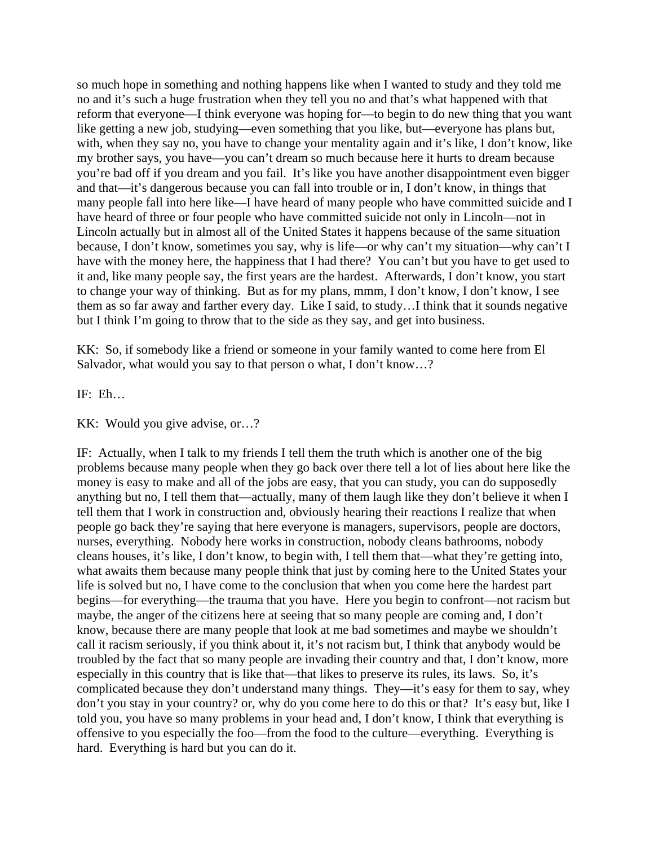so much hope in something and nothing happens like when I wanted to study and they told me no and it's such a huge frustration when they tell you no and that's what happened with that reform that everyone—I think everyone was hoping for—to begin to do new thing that you want like getting a new job, studying—even something that you like, but—everyone has plans but, with, when they say no, you have to change your mentality again and it's like, I don't know, like my brother says, you have—you can't dream so much because here it hurts to dream because you're bad off if you dream and you fail. It's like you have another disappointment even bigger and that—it's dangerous because you can fall into trouble or in, I don't know, in things that many people fall into here like—I have heard of many people who have committed suicide and I have heard of three or four people who have committed suicide not only in Lincoln—not in Lincoln actually but in almost all of the United States it happens because of the same situation because, I don't know, sometimes you say, why is life—or why can't my situation—why can't I have with the money here, the happiness that I had there? You can't but you have to get used to it and, like many people say, the first years are the hardest. Afterwards, I don't know, you start to change your way of thinking. But as for my plans, mmm, I don't know, I don't know, I see them as so far away and farther every day. Like I said, to study…I think that it sounds negative but I think I'm going to throw that to the side as they say, and get into business.

KK: So, if somebody like a friend or someone in your family wanted to come here from El Salvador, what would you say to that person o what, I don't know...?

IF: Eh…

KK: Would you give advise, or…?

IF: Actually, when I talk to my friends I tell them the truth which is another one of the big problems because many people when they go back over there tell a lot of lies about here like the money is easy to make and all of the jobs are easy, that you can study, you can do supposedly anything but no, I tell them that—actually, many of them laugh like they don't believe it when I tell them that I work in construction and, obviously hearing their reactions I realize that when people go back they're saying that here everyone is managers, supervisors, people are doctors, nurses, everything. Nobody here works in construction, nobody cleans bathrooms, nobody cleans houses, it's like, I don't know, to begin with, I tell them that—what they're getting into, what awaits them because many people think that just by coming here to the United States your life is solved but no, I have come to the conclusion that when you come here the hardest part begins—for everything—the trauma that you have. Here you begin to confront—not racism but maybe, the anger of the citizens here at seeing that so many people are coming and, I don't know, because there are many people that look at me bad sometimes and maybe we shouldn't call it racism seriously, if you think about it, it's not racism but, I think that anybody would be troubled by the fact that so many people are invading their country and that, I don't know, more especially in this country that is like that—that likes to preserve its rules, its laws. So, it's complicated because they don't understand many things. They—it's easy for them to say, whey don't you stay in your country? or, why do you come here to do this or that? It's easy but, like I told you, you have so many problems in your head and, I don't know, I think that everything is offensive to you especially the foo—from the food to the culture—everything. Everything is hard. Everything is hard but you can do it.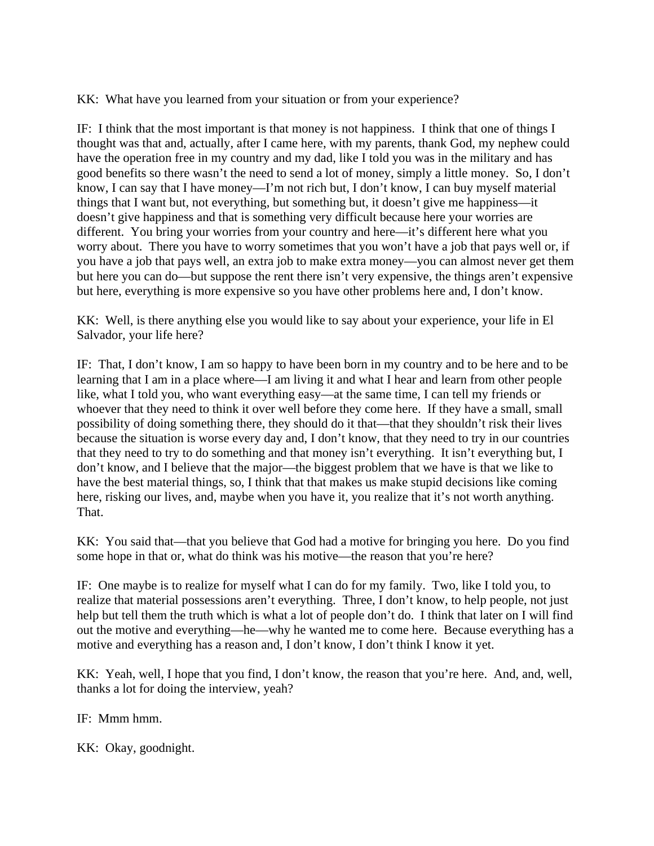KK: What have you learned from your situation or from your experience?

IF: I think that the most important is that money is not happiness. I think that one of things I thought was that and, actually, after I came here, with my parents, thank God, my nephew could have the operation free in my country and my dad, like I told you was in the military and has good benefits so there wasn't the need to send a lot of money, simply a little money. So, I don't know, I can say that I have money—I'm not rich but, I don't know, I can buy myself material things that I want but, not everything, but something but, it doesn't give me happiness—it doesn't give happiness and that is something very difficult because here your worries are different. You bring your worries from your country and here—it's different here what you worry about. There you have to worry sometimes that you won't have a job that pays well or, if you have a job that pays well, an extra job to make extra money—you can almost never get them but here you can do—but suppose the rent there isn't very expensive, the things aren't expensive but here, everything is more expensive so you have other problems here and, I don't know.

KK: Well, is there anything else you would like to say about your experience, your life in El Salvador, your life here?

IF: That, I don't know, I am so happy to have been born in my country and to be here and to be learning that I am in a place where—I am living it and what I hear and learn from other people like, what I told you, who want everything easy—at the same time, I can tell my friends or whoever that they need to think it over well before they come here. If they have a small, small possibility of doing something there, they should do it that—that they shouldn't risk their lives because the situation is worse every day and, I don't know, that they need to try in our countries that they need to try to do something and that money isn't everything. It isn't everything but, I don't know, and I believe that the major—the biggest problem that we have is that we like to have the best material things, so, I think that that makes us make stupid decisions like coming here, risking our lives, and, maybe when you have it, you realize that it's not worth anything. That.

KK: You said that—that you believe that God had a motive for bringing you here. Do you find some hope in that or, what do think was his motive—the reason that you're here?

IF: One maybe is to realize for myself what I can do for my family. Two, like I told you, to realize that material possessions aren't everything. Three, I don't know, to help people, not just help but tell them the truth which is what a lot of people don't do. I think that later on I will find out the motive and everything—he—why he wanted me to come here. Because everything has a motive and everything has a reason and, I don't know, I don't think I know it yet.

KK: Yeah, well, I hope that you find, I don't know, the reason that you're here. And, and, well, thanks a lot for doing the interview, yeah?

IF: Mmm hmm.

KK: Okay, goodnight.